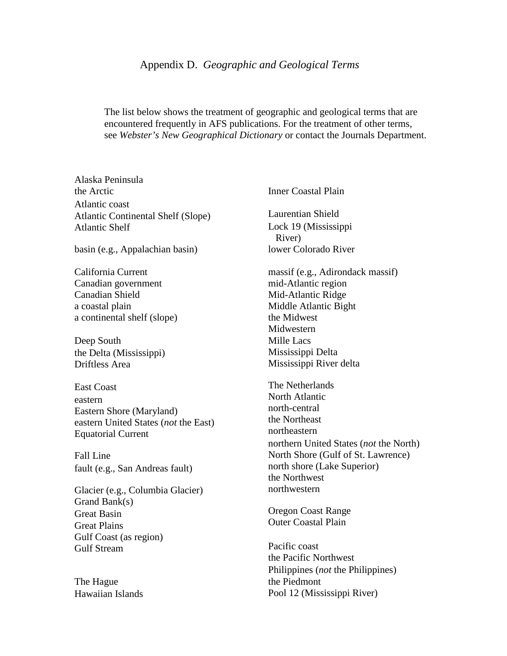The list below shows the treatment of geographic and geological terms that are encountered frequently in AFS publications. For the treatment of other terms, see *Webster's New Geographical Dictionary* or contact the Journals Department.

Alaska Peninsula the Arctic Atlantic coast Atlantic Continental Shelf (Slope) Atlantic Shelf

basin (e.g., Appalachian basin)

California Current Canadian government Canadian Shield a coastal plain a continental shelf (slope)

Deep South the Delta (Mississippi) Driftless Area

East Coast eastern Eastern Shore (Maryland) eastern United States (*not* the East) Equatorial Current

Fall Line fault (e.g., San Andreas fault)

Glacier (e.g., Columbia Glacier) Grand Bank(s) Great Basin Great Plains Gulf Coast (as region) Gulf Stream

The Hague Hawaiian Islands Inner Coastal Plain

Laurentian Shield Lock 19 (Mississippi River) lower Colorado River

massif (e.g., Adirondack massif) mid-Atlantic region Mid-Atlantic Ridge Middle Atlantic Bight the Midwest Midwestern Mille Lacs Mississippi Delta Mississippi River delta

The Netherlands North Atlantic north-central the Northeast northeastern northern United States (*not* the North) North Shore (Gulf of St. Lawrence) north shore (Lake Superior) the Northwest northwestern

Oregon Coast Range Outer Coastal Plain

Pacific coast the Pacific Northwest Philippines (*not* the Philippines) the Piedmont Pool 12 (Mississippi River)